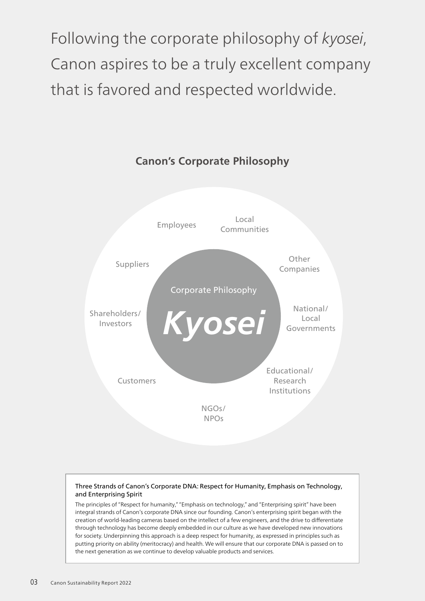Following the corporate philosophy of *kyosei*, Canon aspires to be a truly excellent company that is favored and respected worldwide.



## **Canon's Corporate Philosophy**

## Three Strands of Canon's Corporate DNA: Respect for Humanity, Emphasis on Technology, and Enterprising Spirit

The principles of "Respect for humanity," "Emphasis on technology," and "Enterprising spirit" have been integral strands of Canon's corporate DNA since our founding. Canon's enterprising spirit began with the creation of world-leading cameras based on the intellect of a few engineers, and the drive to differentiate through technology has become deeply embedded in our culture as we have developed new innovations for society. Underpinning this approach is a deep respect for humanity, as expressed in principles such as putting priority on ability (meritocracy) and health. We will ensure that our corporate DNA is passed on to the next generation as we continue to develop valuable products and services.